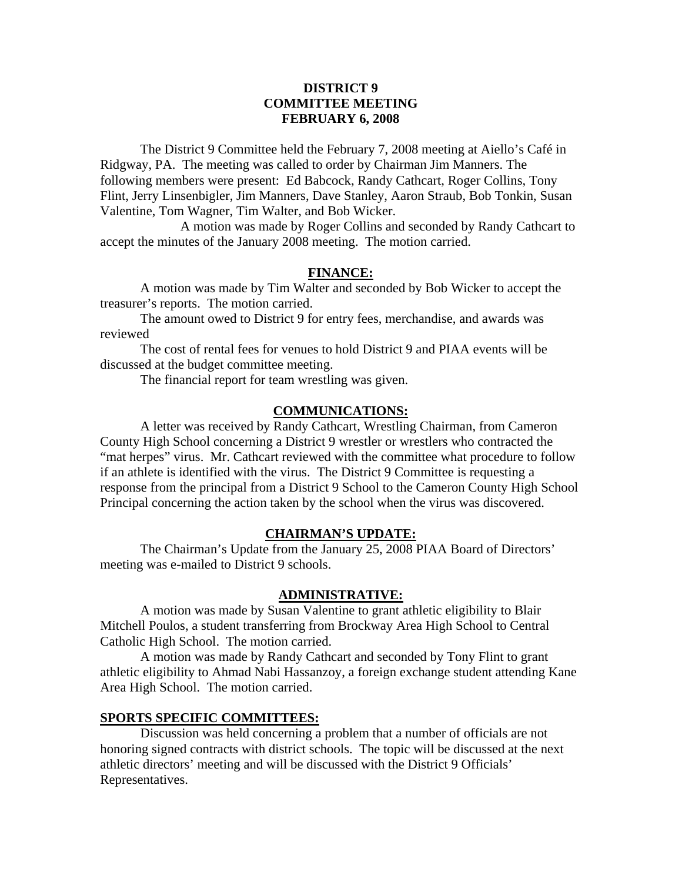## **DISTRICT 9 COMMITTEE MEETING FEBRUARY 6, 2008**

 The District 9 Committee held the February 7, 2008 meeting at Aiello's Café in Ridgway, PA. The meeting was called to order by Chairman Jim Manners. The following members were present: Ed Babcock, Randy Cathcart, Roger Collins, Tony Flint, Jerry Linsenbigler, Jim Manners, Dave Stanley, Aaron Straub, Bob Tonkin, Susan Valentine, Tom Wagner, Tim Walter, and Bob Wicker.

 A motion was made by Roger Collins and seconded by Randy Cathcart to accept the minutes of the January 2008 meeting. The motion carried.

### **FINANCE:**

A motion was made by Tim Walter and seconded by Bob Wicker to accept the treasurer's reports. The motion carried.

 The amount owed to District 9 for entry fees, merchandise, and awards was reviewed

 The cost of rental fees for venues to hold District 9 and PIAA events will be discussed at the budget committee meeting.

The financial report for team wrestling was given.

#### **COMMUNICATIONS:**

 A letter was received by Randy Cathcart, Wrestling Chairman, from Cameron County High School concerning a District 9 wrestler or wrestlers who contracted the "mat herpes" virus. Mr. Cathcart reviewed with the committee what procedure to follow if an athlete is identified with the virus. The District 9 Committee is requesting a response from the principal from a District 9 School to the Cameron County High School Principal concerning the action taken by the school when the virus was discovered.

#### **CHAIRMAN'S UPDATE:**

 The Chairman's Update from the January 25, 2008 PIAA Board of Directors' meeting was e-mailed to District 9 schools.

#### **ADMINISTRATIVE:**

 A motion was made by Susan Valentine to grant athletic eligibility to Blair Mitchell Poulos, a student transferring from Brockway Area High School to Central Catholic High School. The motion carried.

 A motion was made by Randy Cathcart and seconded by Tony Flint to grant athletic eligibility to Ahmad Nabi Hassanzoy, a foreign exchange student attending Kane Area High School. The motion carried.

#### **SPORTS SPECIFIC COMMITTEES:**

 Discussion was held concerning a problem that a number of officials are not honoring signed contracts with district schools. The topic will be discussed at the next athletic directors' meeting and will be discussed with the District 9 Officials' Representatives.